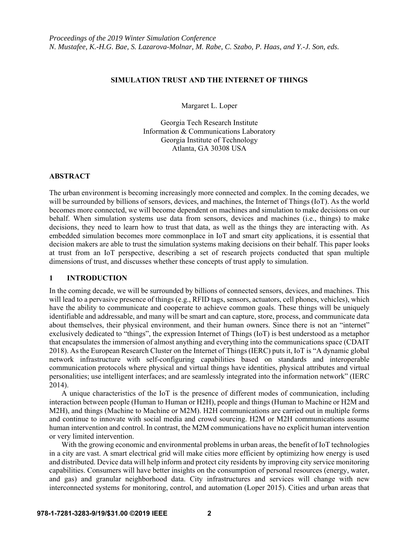# **SIMULATION TRUST AND THE INTERNET OF THINGS**

Margaret L. Loper

Georgia Tech Research Institute Information & Communications Laboratory Georgia Institute of Technology Atlanta, GA 30308 USA

## **ABSTRACT**

The urban environment is becoming increasingly more connected and complex. In the coming decades, we will be surrounded by billions of sensors, devices, and machines, the Internet of Things (IoT). As the world becomes more connected, we will become dependent on machines and simulation to make decisions on our behalf. When simulation systems use data from sensors, devices and machines (i.e., things) to make decisions, they need to learn how to trust that data, as well as the things they are interacting with. As embedded simulation becomes more commonplace in IoT and smart city applications, it is essential that decision makers are able to trust the simulation systems making decisions on their behalf. This paper looks at trust from an IoT perspective, describing a set of research projects conducted that span multiple dimensions of trust, and discusses whether these concepts of trust apply to simulation.

## **1 INTRODUCTION**

In the coming decade, we will be surrounded by billions of connected sensors, devices, and machines. This will lead to a pervasive presence of things (e.g., RFID tags, sensors, actuators, cell phones, vehicles), which have the ability to communicate and cooperate to achieve common goals. These things will be uniquely identifiable and addressable, and many will be smart and can capture, store, process, and communicate data about themselves, their physical environment, and their human owners. Since there is not an "internet" exclusively dedicated to "things", the expression Internet of Things (IoT) is best understood as a metaphor that encapsulates the immersion of almost anything and everything into the communications space (CDAIT 2018). As the European Research Cluster on the Internet of Things (IERC) puts it, IoT is "A dynamic global network infrastructure with self-configuring capabilities based on standards and interoperable communication protocols where physical and virtual things have identities, physical attributes and virtual personalities; use intelligent interfaces; and are seamlessly integrated into the information network" (IERC 2014).

A unique characteristics of the IoT is the presence of different modes of communication, including interaction between people (Human to Human or H2H), people and things (Human to Machine or H2M and M2H), and things (Machine to Machine or M2M). H2H communications are carried out in multiple forms and continue to innovate with social media and crowd sourcing. H2M or M2H communications assume human intervention and control. In contrast, the M2M communications have no explicit human intervention or very limited intervention.

With the growing economic and environmental problems in urban areas, the benefit of IoT technologies in a city are vast. A smart electrical grid will make cities more efficient by optimizing how energy is used and distributed. Device data will help inform and protect city residents by improving city service monitoring capabilities. Consumers will have better insights on the consumption of personal resources (energy, water, and gas) and granular neighborhood data. City infrastructures and services will change with new interconnected systems for monitoring, control, and automation (Loper 2015). Cities and urban areas that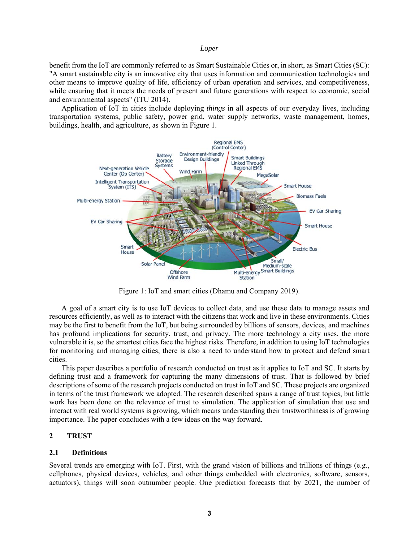benefit from the IoT are commonly referred to as Smart Sustainable Cities or, in short, as Smart Cities (SC): "A smart sustainable city is an innovative city that uses information and communication technologies and other means to improve quality of life, efficiency of urban operation and services, and competitiveness, while ensuring that it meets the needs of present and future generations with respect to economic, social and environmental aspects" (ITU 2014).

Application of IoT in cities include deploying *things* in all aspects of our everyday lives, including transportation systems, public safety, power grid, water supply networks, waste management, homes, buildings, health, and agriculture, as shown in Figure 1.



Figure 1: IoT and smart cities (Dhamu and Company 2019).

A goal of a smart city is to use IoT devices to collect data, and use these data to manage assets and resources efficiently, as well as to interact with the citizens that work and live in these environments. Cities may be the first to benefit from the IoT, but being surrounded by billions of sensors, devices, and machines has profound implications for security, trust, and privacy. The more technology a city uses, the more vulnerable it is, so the smartest cities face the highest risks. Therefore, in addition to using IoT technologies for monitoring and managing cities, there is also a need to understand how to protect and defend smart cities.

This paper describes a portfolio of research conducted on trust as it applies to IoT and SC. It starts by defining trust and a framework for capturing the many dimensions of trust. That is followed by brief descriptions of some of the research projects conducted on trust in IoT and SC. These projects are organized in terms of the trust framework we adopted. The research described spans a range of trust topics, but little work has been done on the relevance of trust to simulation. The application of simulation that use and interact with real world systems is growing, which means understanding their trustworthiness is of growing importance. The paper concludes with a few ideas on the way forward.

## **2 TRUST**

## **2.1 Definitions**

Several trends are emerging with IoT. First, with the grand vision of billions and trillions of things (e.g., cellphones, physical devices, vehicles, and other things embedded with electronics, software, sensors, actuators), things will soon outnumber people. One prediction forecasts that by 2021, the number of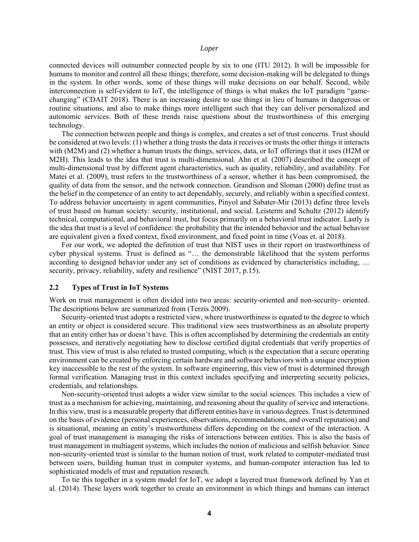connected devices will outnumber connected people by six to one (ITU 2012). It will be impossible for humans to monitor and control all these things; therefore, some decision-making will be delegated to things in the system. In other words, some of these things will make decisions on our behalf. Second, while interconnection is self-evident to IoT, the intelligence of things is what makes the IoT paradigm "gamechanging" (CDAIT 2018). There is an increasing desire to use things in lieu of humans in dangerous or routine situations, and also to make things more intelligent such that they can deliver personalized and autonomic services. Both of these trends raise questions about the trustworthiness of this emerging technology.

The connection between people and things is complex, and creates a set of trust concerns. Trust should be considered at two levels: (1) whether a thing trusts the data it receives or trusts the other things it interacts with (M2M) and (2) whether a human trusts the things, services, data, or IoT offerings that it uses (H2M or M2H). This leads to the idea that trust is multi-dimensional. Ahn et al. (2007) described the concept of multi-dimensional trust by different agent characteristics, such as quality, reliability, and availability. For Matei et al. (2009), trust refers to the trustworthiness of a sensor, whether it has been compromised, the quality of data from the sensor, and the network connection. Grandison and Sloman (2000) define trust as the belief in the competence of an entity to act dependably, securely, and reliably within a specified context. To address behavior uncertainty in agent communities, Pinyol and Sabater-Mir (2013) define three levels of trust based on human society: security, institutional, and social. Leisterm and Schultz (2012) identify technical, computational, and behavioral trust, but focus primarily on a behavioral trust indicator. Lastly is the idea that trust is a level of confidence: the probability that the intended behavior and the actual behavior are equivalent given a fixed context, fixed environment, and fixed point in time (Voas et. al 2018).

For our work, we adopted the definition of trust that NIST uses in their report on trustworthiness of cyber physical systems. Trust is defined as "… the demonstrable likelihood that the system performs according to designed behavior under any set of conditions as evidenced by characteristics including, … security, privacy, reliability, safety and resilience" (NIST 2017, p.15).

### **2.2 Types of Trust in IoT Systems**

Work on trust management is often divided into two areas: security-oriented and non-security- oriented. The descriptions below are summarized from (Terzis 2009).

Security-oriented trust adopts a restricted view, where trustworthiness is equated to the degree to which an entity or object is considered secure. This traditional view sees trustworthiness as an absolute property that an entity either has or doesn't have. This is often accomplished by determining the credentials an entity possesses, and iteratively negotiating how to disclose certified digital credentials that verify properties of trust. This view of trust is also related to trusted computing, which is the expectation that a secure operating environment can be created by enforcing certain hardware and software behaviors with a unique encryption key inaccessible to the rest of the system. In software engineering, this view of trust is determined through formal verification. Managing trust in this context includes specifying and interpreting security policies, credentials, and relationships.

Non-security-oriented trust adopts a wider view similar to the social sciences. This includes a view of trust as a mechanism for achieving, maintaining, and reasoning about the quality of service and interactions. In this view, trust is a measurable property that different entities have in various degrees. Trust is determined on the basis of evidence (personal experiences, observations, recommendations, and overall reputation) and is situational, meaning an entity's trustworthiness differs depending on the context of the interaction. A goal of trust management is managing the risks of interactions between entities. This is also the basis of trust management in multiagent systems, which includes the notion of malicious and selfish behavior. Since non-security-oriented trust is similar to the human notion of trust, work related to computer-mediated trust between users, building human trust in computer systems, and human-computer interaction has led to sophisticated models of trust and reputation research.

To tie this together in a system model for IoT, we adopt a layered trust framework defined by Yan et al. (2014). These layers work together to create an environment in which things and humans can interact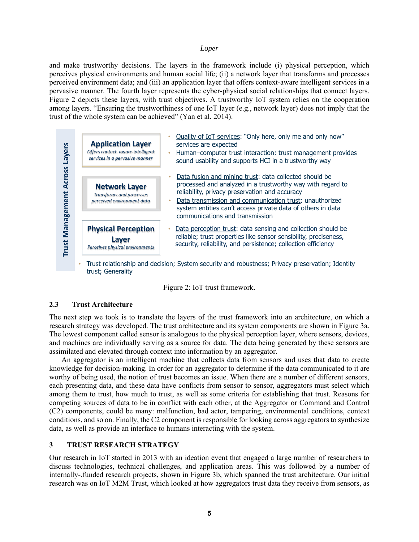and make trustworthy decisions. The layers in the framework include (i) physical perception, which perceives physical environments and human social life; (ii) a network layer that transforms and processes perceived environment data; and (iii) an application layer that offers context-aware intelligent services in a pervasive manner. The fourth layer represents the cyber-physical social relationships that connect layers. Figure 2 depicts these layers, with trust objectives. A trustworthy IoT system relies on the cooperation among layers. "Ensuring the trustworthiness of one IoT layer (e.g., network layer) does not imply that the trust of the whole system can be achieved" (Yan et al. 2014).



• Trust relationship and decision; System security and robustness; Privacy preservation; Identity trust; Generality

Figure 2: IoT trust framework.

## **2.3 Trust Architecture**

The next step we took is to translate the layers of the trust framework into an architecture, on which a research strategy was developed. The trust architecture and its system components are shown in Figure 3a. The lowest component called sensor is analogous to the physical perception layer, where sensors, devices, and machines are individually serving as a source for data. The data being generated by these sensors are assimilated and elevated through context into information by an aggregator.

An aggregator is an intelligent machine that collects data from sensors and uses that data to create knowledge for decision-making. In order for an aggregator to determine if the data communicated to it are worthy of being used, the notion of trust becomes an issue. When there are a number of different sensors, each presenting data, and these data have conflicts from sensor to sensor, aggregators must select which among them to trust, how much to trust, as well as some criteria for establishing that trust. Reasons for competing sources of data to be in conflict with each other, at the Aggregator or Command and Control (C2) components, could be many: malfunction, bad actor, tampering, environmental conditions, context conditions, and so on. Finally, the C2 component is responsible for looking across aggregators to synthesize data, as well as provide an interface to humans interacting with the system.

# **3 TRUST RESEARCH STRATEGY**

Our research in IoT started in 2013 with an ideation event that engaged a large number of researchers to discuss technologies, technical challenges, and application areas. This was followed by a number of internally-.funded research projects, shown in Figure 3b, which spanned the trust architecture. Our initial research was on IoT M2M Trust, which looked at how aggregators trust data they receive from sensors, as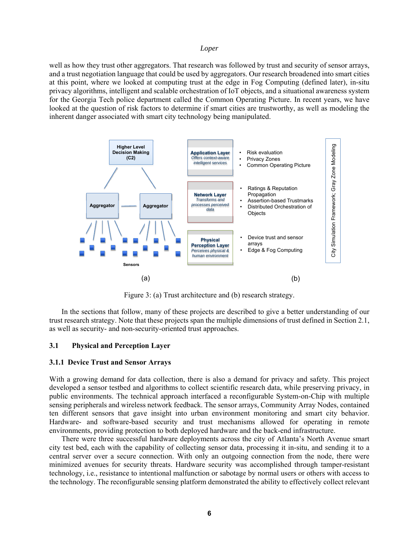well as how they trust other aggregators. That research was followed by trust and security of sensor arrays, and a trust negotiation language that could be used by aggregators. Our research broadened into smart cities at this point, where we looked at computing trust at the edge in Fog Computing (defined later), in-situ privacy algorithms, intelligent and scalable orchestration of IoT objects, and a situational awareness system for the Georgia Tech police department called the Common Operating Picture. In recent years, we have looked at the question of risk factors to determine if smart cities are trustworthy, as well as modeling the inherent danger associated with smart city technology being manipulated.



Figure 3: (a) Trust architecture and (b) research strategy.

In the sections that follow, many of these projects are described to give a better understanding of our trust research strategy. Note that these projects span the multiple dimensions of trust defined in Section 2.1, as well as security- and non-security-oriented trust approaches.

### **3.1 Physical and Perception Layer**

### **3.1.1 Device Trust and Sensor Arrays**

With a growing demand for data collection, there is also a demand for privacy and safety. This project developed a sensor testbed and algorithms to collect scientific research data, while preserving privacy, in public environments. The technical approach interfaced a reconfigurable System-on-Chip with multiple sensing peripherals and wireless network feedback. The sensor arrays, Community Array Nodes, contained ten different sensors that gave insight into urban environment monitoring and smart city behavior. Hardware- and software-based security and trust mechanisms allowed for operating in remote environments, providing protection to both deployed hardware and the back-end infrastructure.

There were three successful hardware deployments across the city of Atlanta's North Avenue smart city test bed, each with the capability of collecting sensor data, processing it in-situ, and sending it to a central server over a secure connection. With only an outgoing connection from the node, there were minimized avenues for security threats. Hardware security was accomplished through tamper-resistant technology, i.e., resistance to intentional malfunction or sabotage by normal users or others with access to the technology. The reconfigurable sensing platform demonstrated the ability to effectively collect relevant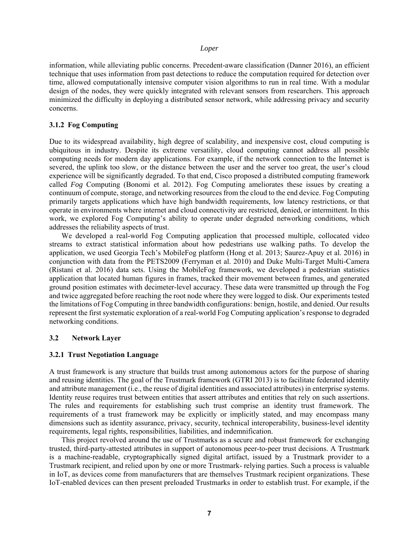information, while alleviating public concerns. Precedent-aware classification (Danner 2016), an efficient technique that uses information from past detections to reduce the computation required for detection over time, allowed computationally intensive computer vision algorithms to run in real time. With a modular design of the nodes, they were quickly integrated with relevant sensors from researchers. This approach minimized the difficulty in deploying a distributed sensor network, while addressing privacy and security concerns.

## **3.1.2 Fog Computing**

Due to its widespread availability, high degree of scalability, and inexpensive cost, cloud computing is ubiquitous in industry. Despite its extreme versatility, cloud computing cannot address all possible computing needs for modern day applications. For example, if the network connection to the Internet is severed, the uplink too slow, or the distance between the user and the server too great, the user's cloud experience will be significantly degraded. To that end, Cisco proposed a distributed computing framework called *Fog* Computing (Bonomi et al. 2012). Fog Computing ameliorates these issues by creating a continuum of compute, storage, and networking resources from the cloud to the end device. Fog Computing primarily targets applications which have high bandwidth requirements, low latency restrictions, or that operate in environments where internet and cloud connectivity are restricted, denied, or intermittent. In this work, we explored Fog Computing's ability to operate under degraded networking conditions, which addresses the reliability aspects of trust.

We developed a real-world Fog Computing application that processed multiple, collocated video streams to extract statistical information about how pedestrians use walking paths. To develop the application, we used Georgia Tech's MobileFog platform (Hong et al. 2013; Saurez-Apuy et al. 2016) in conjunction with data from the PETS2009 (Ferryman et al. 2010) and Duke Multi-Target Multi-Camera (Ristani et al. 2016) data sets. Using the MobileFog framework, we developed a pedestrian statistics application that located human figures in frames, tracked their movement between frames, and generated ground position estimates with decimeter-level accuracy. These data were transmitted up through the Fog and twice aggregated before reaching the root node where they were logged to disk. Our experiments tested the limitations of Fog Computing in three bandwidth configurations: benign, hostile, and denied. Our results represent the first systematic exploration of a real-world Fog Computing application's response to degraded networking conditions.

### **3.2 Network Layer**

#### **3.2.1 Trust Negotiation Language**

A trust framework is any structure that builds trust among autonomous actors for the purpose of sharing and reusing identities. The goal of the Trustmark framework (GTRI 2013) is to facilitate federated identity and attribute management (i.e., the reuse of digital identities and associated attributes) in enterprise systems. Identity reuse requires trust between entities that assert attributes and entities that rely on such assertions. The rules and requirements for establishing such trust comprise an identity trust framework. The requirements of a trust framework may be explicitly or implicitly stated, and may encompass many dimensions such as identity assurance, privacy, security, technical interoperability, business-level identity requirements, legal rights, responsibilities, liabilities, and indemnification.

This project revolved around the use of Trustmarks as a secure and robust framework for exchanging trusted, third-party-attested attributes in support of autonomous peer-to-peer trust decisions. A Trustmark is a machine-readable, cryptographically signed digital artifact, issued by a Trustmark provider to a Trustmark recipient, and relied upon by one or more Trustmark- relying parties. Such a process is valuable in IoT, as devices come from manufacturers that are themselves Trustmark recipient organizations. These IoT-enabled devices can then present preloaded Trustmarks in order to establish trust. For example, if the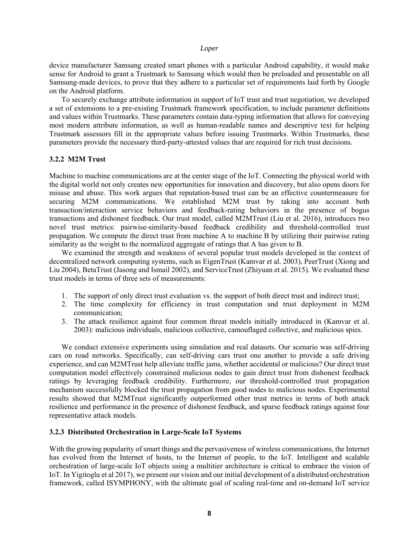device manufacturer Samsung created smart phones with a particular Android capability, it would make sense for Android to grant a Trustmark to Samsung which would then be preloaded and presentable on all Samsung-made devices, to prove that they adhere to a particular set of requirements laid forth by Google on the Android platform.

To securely exchange attribute information in support of IoT trust and trust negotiation, we developed a set of extensions to a pre-existing Trustmark framework specification, to include parameter definitions and values within Trustmarks. These parameters contain data-typing information that allows for conveying most modern attribute information, as well as human-readable names and descriptive text for helping Trustmark assessors fill in the appropriate values before issuing Trustmarks. Within Trustmarks, these parameters provide the necessary third-party-attested values that are required for rich trust decisions.

### **3.2.2 M2M Trust**

Machine to machine communications are at the center stage of the IoT. Connecting the physical world with the digital world not only creates new opportunities for innovation and discovery, but also opens doors for misuse and abuse. This work argues that reputation-based trust can be an effective countermeasure for securing M2M communications. We established M2M trust by taking into account both transaction/interaction service behaviors and feedback-rating behaviors in the presence of bogus transactions and dishonest feedback. Our trust model, called M2MTrust (Liu et al. 2016), introduces two novel trust metrics: pairwise-similarity-based feedback credibility and threshold-controlled trust propagation. We compute the direct trust from machine A to machine B by utilizing their pairwise rating similarity as the weight to the normalized aggregate of ratings that A has given to B.

We examined the strength and weakness of several popular trust models developed in the context of decentralized network computing systems, such as EigenTrust (Kamvar et al. 2003), PeerTrust (Xiong and Liu 2004), BetaTrust (Jasong and Ismail 2002), and ServiceTrust (Zhiyuan et al. 2015). We evaluated these trust models in terms of three sets of measurements:

- 1. The support of only direct trust evaluation vs. the support of both direct trust and indirect trust;
- 2. The time complexity for efficiency in trust computation and trust deployment in M2M communication;
- 3. The attack resilience against four common threat models initially introduced in (Kamvar et al. 2003): malicious individuals, malicious collective, camouflaged collective, and malicious spies.

We conduct extensive experiments using simulation and real datasets. Our scenario was self-driving cars on road networks. Specifically, can self-driving cars trust one another to provide a safe driving experience, and can M2MTrust help alleviate traffic jams, whether accidental or malicious? Our direct trust computation model effectively constrained malicious nodes to gain direct trust from dishonest feedback ratings by leveraging feedback credibility. Furthermore, our threshold-controlled trust propagation mechanism successfully blocked the trust propagation from good nodes to malicious nodes. Experimental results showed that M2MTrust significantly outperformed other trust metrics in terms of both attack resilience and performance in the presence of dishonest feedback, and sparse feedback ratings against four representative attack models.

### **3.2.3 Distributed Orchestration in Large-Scale IoT Systems**

With the growing popularity of smart things and the pervasiveness of wireless communications, the Internet has evolved from the Internet of hosts, to the Internet of people, to the IoT. Intelligent and scalable orchestration of large-scale IoT objects using a multitier architecture is critical to embrace the vision of IoT. In Yigitoglu et al 2017), we present our vision and our initial development of a distributed orchestration framework, called ISYMPHONY, with the ultimate goal of scaling real-time and on-demand IoT service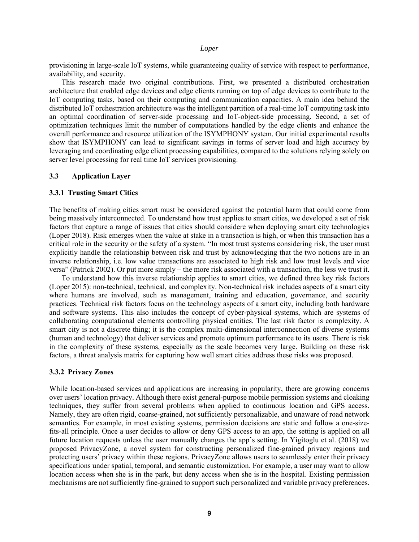provisioning in large-scale IoT systems, while guaranteeing quality of service with respect to performance, availability, and security.

This research made two original contributions. First, we presented a distributed orchestration architecture that enabled edge devices and edge clients running on top of edge devices to contribute to the IoT computing tasks, based on their computing and communication capacities. A main idea behind the distributed IoT orchestration architecture was the intelligent partition of a real-time IoT computing task into an optimal coordination of server-side processing and IoT-object-side processing. Second, a set of optimization techniques limit the number of computations handled by the edge clients and enhance the overall performance and resource utilization of the ISYMPHONY system. Our initial experimental results show that ISYMPHONY can lead to significant savings in terms of server load and high accuracy by leveraging and coordinating edge client processing capabilities, compared to the solutions relying solely on server level processing for real time IoT services provisioning.

#### **3.3 Application Layer**

### **3.3.1 Trusting Smart Cities**

The benefits of making cities smart must be considered against the potential harm that could come from being massively interconnected. To understand how trust applies to smart cities, we developed a set of risk factors that capture a range of issues that cities should considere when deploying smart city technologies (Loper 2018). Risk emerges when the value at stake in a transaction is high, or when this transaction has a critical role in the security or the safety of a system. "In most trust systems considering risk, the user must explicitly handle the relationship between risk and trust by acknowledging that the two notions are in an inverse relationship, i.e. low value transactions are associated to high risk and low trust levels and vice versa" (Patrick 2002). Or put more simply – the more risk associated with a transaction, the less we trust it.

To understand how this inverse relationship applies to smart cities, we defined three key risk factors (Loper 2015): non-technical, technical, and complexity. Non-technical risk includes aspects of a smart city where humans are involved, such as management, training and education, governance, and security practices. Technical risk factors focus on the technology aspects of a smart city, including both hardware and software systems. This also includes the concept of cyber-physical systems, which are systems of collaborating computational elements controlling physical entities. The last risk factor is complexity. A smart city is not a discrete thing; it is the complex multi-dimensional interconnection of diverse systems (human and technology) that deliver services and promote optimum performance to its users. There is risk in the complexity of these systems, especially as the scale becomes very large. Building on these risk factors, a threat analysis matrix for capturing how well smart cities address these risks was proposed.

### **3.3.2 Privacy Zones**

While location-based services and applications are increasing in popularity, there are growing concerns over users' location privacy. Although there exist general-purpose mobile permission systems and cloaking techniques, they suffer from several problems when applied to continuous location and GPS access. Namely, they are often rigid, coarse-grained, not sufficiently personalizable, and unaware of road network semantics. For example, in most existing systems, permission decisions are static and follow a one-sizefits-all principle. Once a user decides to allow or deny GPS access to an app, the setting is applied on all future location requests unless the user manually changes the app's setting. In Yigitoglu et al. (2018) we proposed PrivacyZone, a novel system for constructing personalized fine-grained privacy regions and protecting users' privacy within these regions. PrivacyZone allows users to seamlessly enter their privacy specifications under spatial, temporal, and semantic customization. For example, a user may want to allow location access when she is in the park, but deny access when she is in the hospital. Existing permission mechanisms are not sufficiently fine-grained to support such personalized and variable privacy preferences.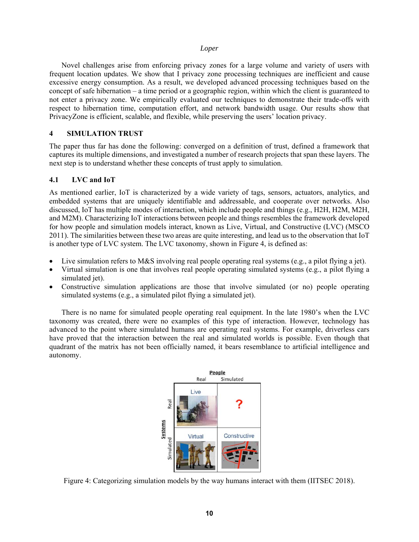Novel challenges arise from enforcing privacy zones for a large volume and variety of users with frequent location updates. We show that I privacy zone processing techniques are inefficient and cause excessive energy consumption. As a result, we developed advanced processing techniques based on the concept of safe hibernation – a time period or a geographic region, within which the client is guaranteed to not enter a privacy zone. We empirically evaluated our techniques to demonstrate their trade-offs with respect to hibernation time, computation effort, and network bandwidth usage. Our results show that PrivacyZone is efficient, scalable, and flexible, while preserving the users' location privacy.

# **4 SIMULATION TRUST**

The paper thus far has done the following: converged on a definition of trust, defined a framework that captures its multiple dimensions, and investigated a number of research projects that span these layers. The next step is to understand whether these concepts of trust apply to simulation.

# **4.1 LVC and IoT**

As mentioned earlier, IoT is characterized by a wide variety of tags, sensors, actuators, analytics, and embedded systems that are uniquely identifiable and addressable, and cooperate over networks. Also discussed, IoT has multiple modes of interaction, which include people and things (e.g., H2H, H2M, M2H, and M2M). Characterizing IoT interactions between people and things resembles the framework developed for how people and simulation models interact, known as Live, Virtual, and Constructive (LVC) (MSCO 2011). The similarities between these two areas are quite interesting, and lead us to the observation that IoT is another type of LVC system. The LVC taxonomy, shown in Figure 4, is defined as:

- Live simulation refers to M&S involving real people operating real systems (e.g., a pilot flying a jet).
- Virtual simulation is one that involves real people operating simulated systems (e.g., a pilot flying a simulated *iet*).
- Constructive simulation applications are those that involve simulated (or no) people operating simulated systems (e.g., a simulated pilot flying a simulated jet).

There is no name for simulated people operating real equipment. In the late 1980's when the LVC taxonomy was created, there were no examples of this type of interaction. However, technology has advanced to the point where simulated humans are operating real systems. For example, driverless cars have proved that the interaction between the real and simulated worlds is possible. Even though that quadrant of the matrix has not been officially named, it bears resemblance to artificial intelligence and autonomy.



Figure 4: Categorizing simulation models by the way humans interact with them (IITSEC 2018).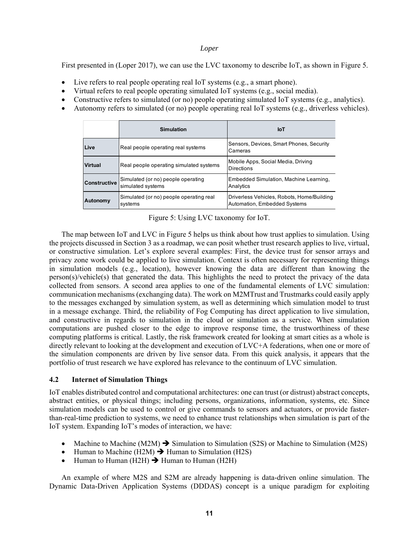First presented in (Loper 2017), we can use the LVC taxonomy to describe IoT, as shown in Figure 5.

- Live refers to real people operating real IoT systems (e.g., a smart phone).
- Virtual refers to real people operating simulated IoT systems (e.g., social media).
- Constructive refers to simulated (or no) people operating simulated IoT systems (e.g., analytics).
- Autonomy refers to simulated (or no) people operating real IoT systems (e.g., driverless vehicles).

|                     | <b>Simulation</b>                                       | loT                                                                        |
|---------------------|---------------------------------------------------------|----------------------------------------------------------------------------|
| Live                | Real people operating real systems                      | Sensors, Devices, Smart Phones, Security<br>Cameras                        |
| <b>Virtual</b>      | Real people operating simulated systems                 | Mobile Apps, Social Media, Driving<br>Directions                           |
| <b>Constructive</b> | Simulated (or no) people operating<br>simulated systems | Embedded Simulation, Machine Learning,<br>Analytics                        |
| Autonomy            | Simulated (or no) people operating real<br>systems      | Driverless Vehicles, Robots, Home/Building<br>Automation, Embedded Systems |

Figure 5: Using LVC taxonomy for IoT.

The map between IoT and LVC in Figure 5 helps us think about how trust applies to simulation. Using the projects discussed in Section 3 as a roadmap, we can posit whether trust research applies to live, virtual, or constructive simulation. Let's explore several examples: First, the device trust for sensor arrays and privacy zone work could be applied to live simulation. Context is often necessary for representing things in simulation models (e.g., location), however knowing the data are different than knowing the person(s)/vehicle(s) that generated the data. This highlights the need to protect the privacy of the data collected from sensors. A second area applies to one of the fundamental elements of LVC simulation: communication mechanisms (exchanging data). The work on M2MTrust and Trustmarks could easily apply to the messages exchanged by simulation system, as well as determining which simulation model to trust in a message exchange. Third, the reliability of Fog Computing has direct application to live simulation, and constructive in regards to simulation in the cloud or simulation as a service. When simulation computations are pushed closer to the edge to improve response time, the trustworthiness of these computing platforms is critical. Lastly, the risk framework created for looking at smart cities as a whole is directly relevant to looking at the development and execution of LVC+A federations, when one or more of the simulation components are driven by live sensor data. From this quick analysis, it appears that the portfolio of trust research we have explored has relevance to the continuum of LVC simulation.

## **4.2 Internet of Simulation Things**

IoT enables distributed control and computational architectures: one can trust (or distrust) abstract concepts, abstract entities, or physical things; including persons, organizations, information, systems, etc. Since simulation models can be used to control or give commands to sensors and actuators, or provide fasterthan-real-time prediction to systems, we need to enhance trust relationships when simulation is part of the IoT system. Expanding IoT's modes of interaction, we have:

- Machine to Machine (M2M)  $\rightarrow$  Simulation to Simulation (S2S) or Machine to Simulation (M2S)
- Human to Machine (H2M)  $\rightarrow$  Human to Simulation (H2S)
- Human to Human (H2H)  $\rightarrow$  Human to Human (H2H)

An example of where M2S and S2M are already happening is data-driven online simulation. The Dynamic Data-Driven Application Systems (DDDAS) concept is a unique paradigm for exploiting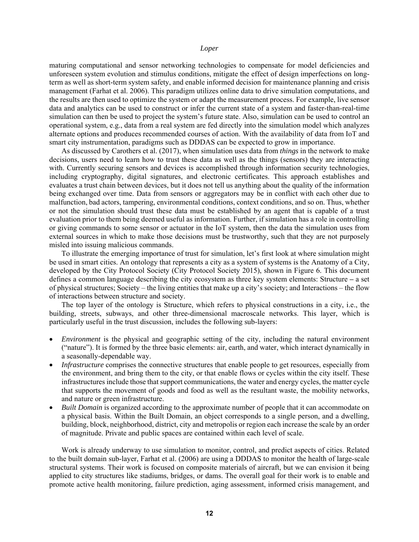maturing computational and sensor networking technologies to compensate for model deficiencies and unforeseen system evolution and stimulus conditions, mitigate the effect of design imperfections on longterm as well as short-term system safety, and enable informed decision for maintenance planning and crisis management (Farhat et al. 2006). This paradigm utilizes online data to drive simulation computations, and the results are then used to optimize the system or adapt the measurement process. For example, live sensor data and analytics can be used to construct or infer the current state of a system and faster-than-real-time simulation can then be used to project the system's future state. Also, simulation can be used to control an operational system, e.g., data from a real system are fed directly into the simulation model which analyzes alternate options and produces recommended courses of action. With the availability of data from IoT and smart city instrumentation, paradigms such as DDDAS can be expected to grow in importance.

As discussed by Carothers et al. (2017), when simulation uses data from *things* in the network to make decisions, users need to learn how to trust these data as well as the things (sensors) they are interacting with. Currently securing sensors and devices is accomplished through information security technologies, including cryptography, digital signatures, and electronic certificates. This approach establishes and evaluates a trust chain between devices, but it does not tell us anything about the quality of the information being exchanged over time. Data from sensors or aggregators may be in conflict with each other due to malfunction, bad actors, tampering, environmental conditions, context conditions, and so on. Thus, whether or not the simulation should trust these data must be established by an agent that is capable of a trust evaluation prior to them being deemed useful as information. Further, if simulation has a role in controlling or giving commands to some sensor or actuator in the IoT system, then the data the simulation uses from external sources in which to make those decisions must be trustworthy, such that they are not purposely misled into issuing malicious commands.

To illustrate the emerging importance of trust for simulation, let's first look at where simulation might be used in smart cities. An ontology that represents a city as a system of systems is the Anatomy of a City, developed by the City Protocol Society (City Protocol Society 2015), shown in Figure 6. This document defines a common language describing the city ecosystem as three key system elements: Structure **–** a set of physical structures; Society – the living entities that make up a city's society; and Interactions – the flow of interactions between structure and society.

The top layer of the ontology is Structure, which refers to physical constructions in a city, i.e., the building, streets, subways, and other three-dimensional macroscale networks. This layer, which is particularly useful in the trust discussion, includes the following sub-layers:

- *Environment* is the physical and geographic setting of the city, including the natural environment ("nature"). It is formed by the three basic elements: air, earth, and water, which interact dynamically in a seasonally-dependable way.
- *Infrastructure* comprises the connective structures that enable people to get resources, especially from the environment, and bring them to the city, or that enable flows or cycles within the city itself. These infrastructures include those that support communications, the water and energy cycles, the matter cycle that supports the movement of goods and food as well as the resultant waste, the mobility networks, and nature or green infrastructure.
- *Built Domain* is organized according to the approximate number of people that it can accommodate on a physical basis. Within the Built Domain, an object corresponds to a single person, and a dwelling, building, block, neighborhood, district, city and metropolis or region each increase the scale by an order of magnitude. Private and public spaces are contained within each level of scale.

Work is already underway to use simulation to monitor, control, and predict aspects of cities. Related to the built domain sub-layer, Farhat et al. (2006) are using a DDDAS to monitor the health of large-scale structural systems. Their work is focused on composite materials of aircraft, but we can envision it being applied to city structures like stadiums, bridges, or dams. The overall goal for their work is to enable and promote active health monitoring, failure prediction, aging assessment, informed crisis management, and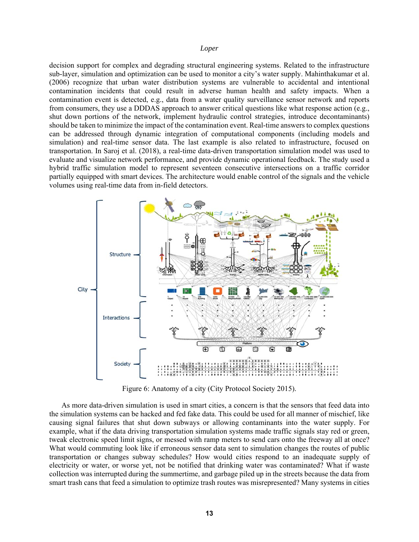decision support for complex and degrading structural engineering systems. Related to the infrastructure sub-layer, simulation and optimization can be used to monitor a city's water supply. Mahinthakumar et al. (2006) recognize that urban water distribution systems are vulnerable to accidental and intentional contamination incidents that could result in adverse human health and safety impacts. When a contamination event is detected, e.g., data from a water quality surveillance sensor network and reports from consumers, they use a DDDAS approach to answer critical questions like what response action (e.g., shut down portions of the network, implement hydraulic control strategies, introduce decontaminants) should be taken to minimize the impact of the contamination event. Real-time answers to complex questions can be addressed through dynamic integration of computational components (including models and simulation) and real-time sensor data. The last example is also related to infrastructure, focused on transportation. In Saroj et al. (2018), a real-time data-driven transportation simulation model was used to evaluate and visualize network performance, and provide dynamic operational feedback. The study used a hybrid traffic simulation model to represent seventeen consecutive intersections on a traffic corridor partially equipped with smart devices. The architecture would enable control of the signals and the vehicle volumes using real-time data from in-field detectors.



Figure 6: Anatomy of a city (City Protocol Society 2015).

As more data-driven simulation is used in smart cities, a concern is that the sensors that feed data into the simulation systems can be hacked and fed fake data. This could be used for all manner of mischief, like causing signal failures that shut down subways or allowing contaminants into the water supply. For example, what if the data driving transportation simulation systems made traffic signals stay red or green, tweak electronic speed limit signs, or messed with ramp meters to send cars onto the freeway all at once? What would commuting look like if erroneous sensor data sent to simulation changes the routes of public transportation or changes subway schedules? How would cities respond to an inadequate supply of electricity or water, or worse yet, not be notified that drinking water was contaminated? What if waste collection was interrupted during the summertime, and garbage piled up in the streets because the data from smart trash cans that feed a simulation to optimize trash routes was misrepresented? Many systems in cities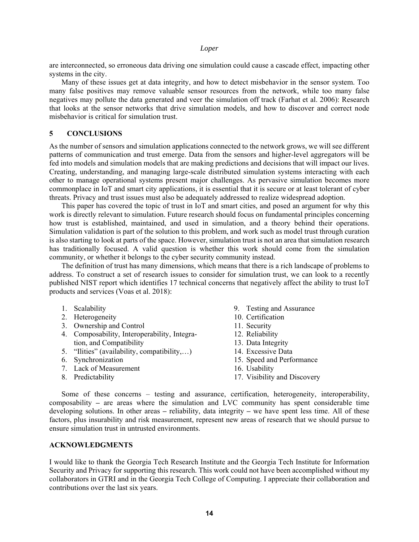are interconnected, so erroneous data driving one simulation could cause a cascade effect, impacting other systems in the city.

Many of these issues get at data integrity, and how to detect misbehavior in the sensor system. Too many false positives may remove valuable sensor resources from the network, while too many false negatives may pollute the data generated and veer the simulation off track (Farhat et al. 2006): Research that looks at the sensor networks that drive simulation models, and how to discover and correct node misbehavior is critical for simulation trust.

### **5 CONCLUSIONS**

As the number of sensors and simulation applications connected to the network grows, we will see different patterns of communication and trust emerge. Data from the sensors and higher-level aggregators will be fed into models and simulation models that are making predictions and decisions that will impact our lives. Creating, understanding, and managing large-scale distributed simulation systems interacting with each other to manage operational systems present major challenges. As pervasive simulation becomes more commonplace in IoT and smart city applications, it is essential that it is secure or at least tolerant of cyber threats. Privacy and trust issues must also be adequately addressed to realize widespread adoption.

This paper has covered the topic of trust in IoT and smart cities, and posed an argument for why this work is directly relevant to simulation. Future research should focus on fundamental principles concerning how trust is established, maintained, and used in simulation, and a theory behind their operations. Simulation validation is part of the solution to this problem, and work such as model trust through curation is also starting to look at parts of the space. However, simulation trust is not an area that simulation research has traditionally focused. A valid question is whether this work should come from the simulation community, or whether it belongs to the cyber security community instead.

The definition of trust has many dimensions, which means that there is a rich landscape of problems to address. To construct a set of research issues to consider for simulation trust, we can look to a recently published NIST report which identifies 17 technical concerns that negatively affect the ability to trust IoT products and services (Voas et al. 2018):

- 1. Scalability
- 2. Heterogeneity
- 3. Ownership and Control
- 4. Composability, Interoperability, Integration, and Compatibility
- 5. "Ilities" (availability, compatibility,…)
- 6. Synchronization
- 7. Lack of Measurement
- 8. Predictability
- 9. Testing and Assurance
- 10. Certification
- 11. Security
- 12. Reliability
- 13. Data Integrity
- 14. Excessive Data
- 15. Speed and Performance
- 16. Usability
- 17. Visibility and Discovery

Some of these concerns – testing and assurance, certification, heterogeneity, interoperability, composability **–** are areas where the simulation and LVC community has spent considerable time developing solutions. In other areas **–** reliability, data integrity **–** we have spent less time. All of these factors, plus insurability and risk measurement, represent new areas of research that we should pursue to ensure simulation trust in untrusted environments.

# **ACKNOWLEDGMENTS**

I would like to thank the Georgia Tech Research Institute and the Georgia Tech Institute for Information Security and Privacy for supporting this research. This work could not have been accomplished without my collaborators in GTRI and in the Georgia Tech College of Computing. I appreciate their collaboration and contributions over the last six years.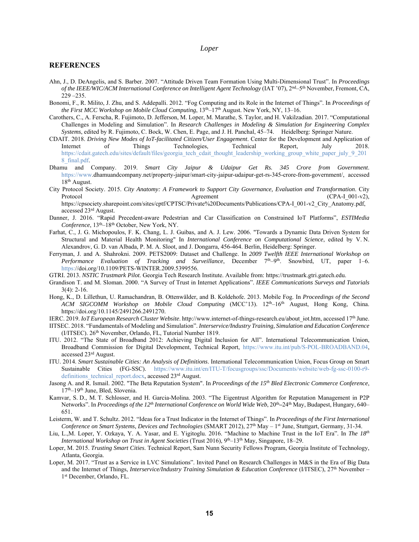#### **REFERENCES**

- Ahn, J., D. DeAngelis, and S. Barber. 2007. "Attitude Driven Team Formation Using Multi-Dimensional Trust". In *Proceedings of the IEEE/WIC/ACM International Conference on Intelligent Agent Technology* (IAT '07), 2<sup>nd</sup>–5<sup>th</sup> November, Fremont, CA, 229 –235.
- Bonomi, F., R. Milito, J. Zhu, and S. Addepalli. 2012. "Fog Computing and its Role in the Internet of Things". In *Proceedings of the First MCC Workshop on Mobile Cloud Computing*, 13th–17th August. New York, NY, 13–16.
- Carothers, C., A. Ferscha, R. Fujimoto, D. Jefferson, M. Loper, M. Marathe, S. Taylor, and H. Vakilzadian. 2017. "Computational Challenges in Modeling and Simulation". In *Research Challenges in Modeling & Simulation for Engineering Complex Systems*, edited by R. Fujimoto, C. Bock, W. Chen, E. Page, and J. H. Panchal, 45–74. Heidelberg: Springer Nature.
- CDAIT. 2018. *Driving New Modes of IoT-facilitated Citizen/User Engagement*. Center for the Development and Application of Internet of Things Technologies, Technical Report, July 2018. https://cdait.gatech.edu/sites/default/files/georgia\_tech\_cdait\_thought\_leadership\_working\_group\_white\_paper\_july\_9\_201 8\_final.pdf.
- Dhamu and Company. 2019. *Smart City Jaipur & Udaipur Get Rs. 345 Crore from Government*. https://www.dhamuandcompany.net/property-jaipur/smart-city-jaipur-udaipur-get-rs-345-crore-from-government/, accessed  $18<sup>th</sup>$  August.
- City Protocol Society. 2015. *City Anatomy: A Framework to Support City Governance, Evaluation and Transformation*. City Protocol Agreement (CPA-I\_001-v2), https://cpsociety.sharepoint.com/sites/cptf/CPTSC/Private%20Documents/Publications/CPA-I\_001-v2\_City\_Anatomy.pdf, accessed 23rd August.
- Danner, J. 2016. "Rapid Precedent-aware Pedestrian and Car Classification on Constrained IoT Platforms", *ESTIMedia*  Conference,  $13<sup>th</sup>-18<sup>th</sup>$  October, New York, NY.
- Farhat, C., J. G. Michopoulos, F. K. Chang, L. J. Guibas, and A. J. Lew. 2006. "Towards a Dynamic Data Driven System for Structural and Material Health Monitoring" In *International Conference on Computational Science*, edited by V. N. Alexandrov, G. D. van Albada, P. M. A. Sloot, and J. Dongarra, 456-464. Berlin, Heidelberg: Springer.
- Ferryman, J. and A. Shahrokni. 2009. PETS2009: Dataset and Challenge. In *2009 Twelfth IEEE International Workshop on Performance Evaluation of Tracking and Surveillance*, December 7th–9th. Snowbird, UT, paper 1–6. https://doi.org/10.1109/PETS-WINTER.2009.5399556.
- GTRI. 2013. *NSTIC Trustmark Pilot*. Georgia Tech Research Institute. Available from: https://trustmark.gtri.gatech.edu.
- Grandison T. and M. Sloman. 2000. "A Survey of Trust in Internet Applications". *IEEE Communications Surveys and Tutorials* 3(4): 2-16.
- Hong, K., D. Lillethun, U. Ramachandran, B. Ottenwälder, and B. Koldehofe. 2013. Mobile Fog. In *Proceedings of the Second ACM SIGCOMM Workshop on Mobile Cloud Computing* (MCC'13). 12th–16th August, Hong Kong, China. https://doi.org/10.1145/2491266.2491270.
- IERC. 2019. *IoT European Research Cluster Website*. http://www.internet-of-things-research.eu/about\_iot.htm, accessed 17th June.
- IITSEC. 2018. "Fundamentals of Modeling and Simulation". *Interservice/Industry Training, Simulation and Education Conference* (I/ITSEC). 26<sup>th</sup> November, Orlando, FL, Tutorial Number 1819.
- ITU. 2012. "The State of Broadband 2012: Achieving Digital Inclusion for All". International Telecommunication Union, Broadband Commission for Digital Development, Technical Report, https://www.itu.int/pub/S-POL-BROADBAND.04, accessed 23rd August.
- ITU. 2014. *Smart Sustainable Cities: An Analysis of Definitions*. International Telecommunication Union, Focus Group on Smart Sustainable Cities (FG-SSC). https://www.itu.int/en/ITU-T/focusgroups/ssc/Documents/website/web-fg-ssc-0100-r9 definitions\_technical\_report.docx, accessed 23rd August.
- Jasong A. and R. Ismail. 2002. "The Beta Reputation System". In *Proceedings of the 15th Bled Electronic Commerce Conference*, 17th–19th June, Bled, Slovenia.
- Kamvar, S. D., M. T. Schlosser, and H. Garcia-Molina. 2003. "The Eigentrust Algorithm for Reputation Management in P2P Networks". In Proceedings of the 12<sup>th</sup> International Conference on World Wide Web, 20<sup>th</sup>–24<sup>th</sup> May, Budapest, Hungary, 640– 651.
- Leisterm, W. and T. Schultz. 2012. "Ideas for a Trust Indicator in the Internet of Things". In *Proceedings of the First International Conference on Smart Systems, Devices and Technologies* (SMART 2012), 27th May – 1st June, Stuttgart, Germany, 31-34.
- Liu, L.,M. Loper, Y. Ozkaya, Y. A. Yasar, and E. Yigitoglu. 2016. "Machine to Machine Trust in the IoT Era". In *The 18th International Workshop on Trust in Agent Societies* (Trust 2016), 9th–13th May, Singapore, 18–29.
- Loper, M. 2015. *Trusting Smart Cities*. Technical Report, Sam Nunn Security Fellows Program, Georgia Institute of Technology, Atlanta, Georgia.
- Loper, M. 2017. "Trust as a Service in LVC Simulations". Invited Panel on Research Challenges in M&S in the Era of Big Data and the Internet of Things, *Interservice/Industry Training Simulation & Education Conference* (I/ITSEC), 27<sup>th</sup> November – 1st December, Orlando, FL.